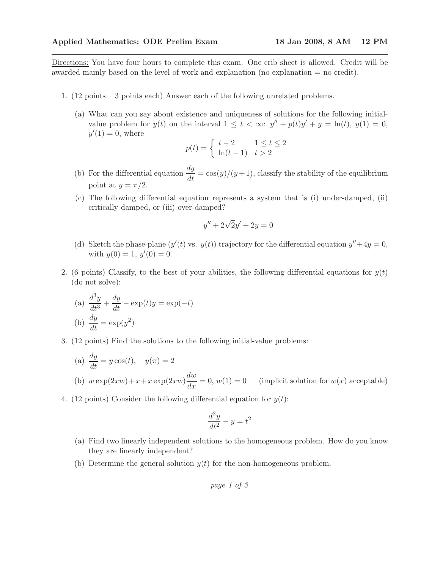Directions: You have four hours to complete this exam. One crib sheet is allowed. Credit will be awarded mainly based on the level of work and explanation (no explanation = no credit).

- 1. (12 points 3 points each) Answer each of the following unrelated problems.
	- (a) What can you say about existence and uniqueness of solutions for the following initialvalue problem for  $y(t)$  on the interval  $1 \leq t < \infty$ :  $y'' + p(t)y' + y = \ln(t), y(1) = 0$ ,  $y'(1) = 0$ , where

$$
p(t) = \begin{cases} t-2 & 1 \le t \le 2\\ \ln(t-1) & t > 2 \end{cases}
$$

- (b) For the differential equation  $\frac{dy}{dt} = \cos(y)/(y+1)$ , classify the stability of the equilibrium point at  $y = \pi/2$ .
- (c) The following differential equation represents a system that is (i) under-damped, (ii) critically damped, or (iii) over-damped?

$$
y'' + 2\sqrt{2}y' + 2y = 0
$$

- (d) Sketch the phase-plane  $(y'(t)$  vs.  $y(t)$  trajectory for the differential equation  $y'' + 4y = 0$ , with  $y(0) = 1, y'(0) = 0.$
- 2. (6 points) Classify, to the best of your abilities, the following differential equations for  $y(t)$ (do not solve):

(a) 
$$
\frac{d^3y}{dt^3} + \frac{dy}{dt} - \exp(t)y = \exp(-t)
$$
  
(b) 
$$
\frac{dy}{dt} = \exp(y^2)
$$

3. (12 points) Find the solutions to the following initial-value problems:

(a) 
$$
\frac{dy}{dt} = y \cos(t), \quad y(\pi) = 2
$$

- (b)  $w \exp(2xw) + x + x \exp(2xw) \frac{dw}{dx}$ (implicit solution for  $w(x)$  acceptable)
- 4. (12 points) Consider the following differential equation for  $y(t)$ :

$$
\frac{d^2y}{dt^2} - y = t^2
$$

- (a) Find two linearly independent solutions to the homogeneous problem. How do you know they are linearly independent?
- (b) Determine the general solution  $y(t)$  for the non-homogeneous problem.

page 1 of 3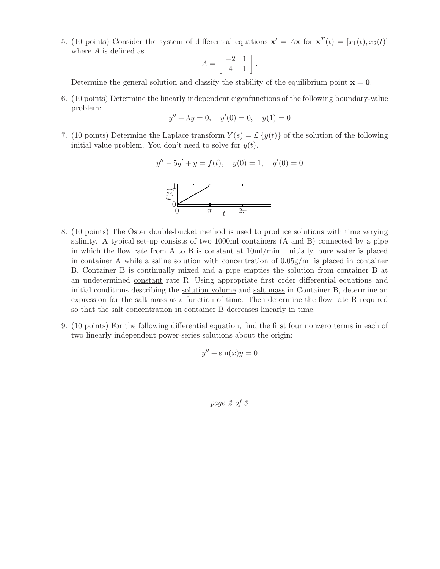5. (10 points) Consider the system of differential equations  $\mathbf{x}' = A\mathbf{x}$  for  $\mathbf{x}^T(t) = [x_1(t), x_2(t)]$ where A is defined as

$$
A = \left[ \begin{array}{rr} -2 & 1 \\ 4 & 1 \end{array} \right].
$$

Determine the general solution and classify the stability of the equilibrium point  $x = 0$ .

6. (10 points) Determine the linearly independent eigenfunctions of the following boundary-value problem:

$$
y'' + \lambda y = 0, \quad y'(0) = 0, \quad y(1) = 0
$$

7. (10 points) Determine the Laplace transform  $Y(s) = \mathcal{L}{y(t)}$  of the solution of the following initial value problem. You don't need to solve for  $y(t)$ .

$$
y'' - 5y' + y = f(t), \quad y(0) = 1, \quad y'(0) = 0
$$

t

 $\overline{0}$ 

- 8. (10 points) The Oster double-bucket method is used to produce solutions with time varying salinity. A typical set-up consists of two 1000ml containers (A and B) connected by a pipe in which the flow rate from A to B is constant at 10ml/min. Initially, pure water is placed in container A while a saline solution with concentration of  $0.05g/ml$  is placed in container B. Container B is continually mixed and a pipe empties the solution from container B at an undetermined constant rate R. Using appropriate first order differential equations and initial conditions describing the solution volume and salt mass in Container B, determine an expression for the salt mass as a function of time. Then determine the flow rate R required so that the salt concentration in container B decreases linearly in time.
- 9. (10 points) For the following differential equation, find the first four nonzero terms in each of two linearly independent power-series solutions about the origin:

$$
y'' + \sin(x)y = 0
$$

page 2 of 3